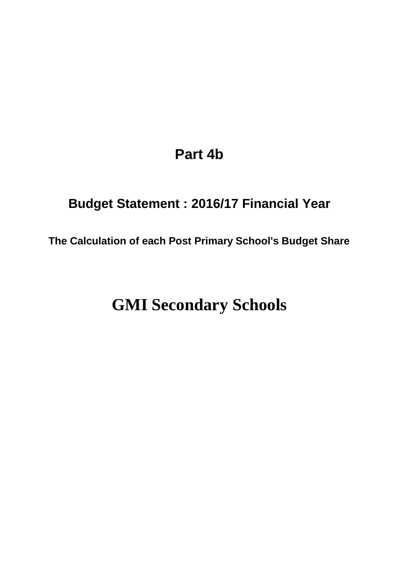# **Part 4b**

# **Budget Statement : 2016/17 Financial Year**

**The Calculation of each Post Primary School's Budget Share**

# **GMI Secondary Schools**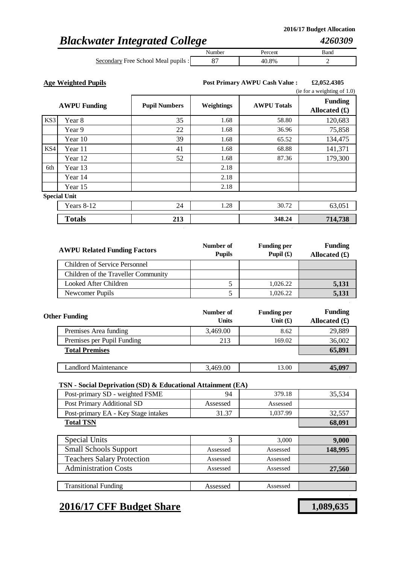*4260309*

## *Blackwater Integrated College*

|                                     | Number | 'ercent    | Band |
|-------------------------------------|--------|------------|------|
| Secondary Free School Meal pupils : |        | ገ ጸ%<br>40 |      |

**Age Weighted Pupils £2,052.4305 Post Primary AWPU Cash Value :**

|     |                     |                      |            |                    | (ie for a weighting of $1.0$ )          |  |
|-----|---------------------|----------------------|------------|--------------------|-----------------------------------------|--|
|     | <b>AWPU Funding</b> | <b>Pupil Numbers</b> | Weightings | <b>AWPU Totals</b> | <b>Funding</b><br>Allocated $(\pounds)$ |  |
| KS3 | Year 8              | 35                   | 1.68       | 58.80              | 120,683                                 |  |
|     | Year 9              | 22                   | 1.68       | 36.96              | 75,858                                  |  |
|     | Year 10             | 39                   | 1.68       | 65.52              | 134,475                                 |  |
| KS4 | Year 11             | 41                   | 1.68       | 68.88              | 141,371                                 |  |
|     | Year 12             | 52                   | 1.68       | 87.36              | 179,300                                 |  |
| 6th | Year 13             |                      | 2.18       |                    |                                         |  |
|     | Year 14             |                      | 2.18       |                    |                                         |  |
|     | Year 15             |                      | 2.18       |                    |                                         |  |
|     | <b>Special Unit</b> |                      |            |                    |                                         |  |
|     | Years 8-12          | 24                   | 1.28       | 30.72              | 63,051                                  |  |
|     | <b>Totals</b>       | 213                  |            | 348.24             | 714,738                                 |  |

| <b>AWPU Related Funding Factors</b>  | Number of<br><b>Pupils</b> | <b>Funding per</b><br>Pupil $(f)$ | <b>Funding</b><br>Allocated $(\mathbf{\hat{f}})$ |
|--------------------------------------|----------------------------|-----------------------------------|--------------------------------------------------|
| <b>Children of Service Personnel</b> |                            |                                   |                                                  |
| Children of the Traveller Community  |                            |                                   |                                                  |
| Looked After Children                |                            | 1,026.22                          | 5,131                                            |
| Newcomer Pupils                      |                            | 1,026.22                          | 5,131                                            |

| <b>Other Funding</b>        | Number of<br><b>Units</b> | <b>Funding per</b><br>Unit $(f)$ | <b>Funding</b><br>Allocated $(f)$ |
|-----------------------------|---------------------------|----------------------------------|-----------------------------------|
| Premises Area funding       | 3,469.00                  | 8.62                             | 29,889                            |
| Premises per Pupil Funding  | 213                       | 169.02                           | 36,002                            |
| <b>Total Premises</b>       |                           |                                  | 65,891                            |
|                             |                           |                                  |                                   |
| <b>Landlord Maintenance</b> | 3,469.00                  | 13.00                            | 45,097                            |

### **TSN - Social Deprivation (SD) & Educational Attainment (EA)**

| Post-primary SD - weighted FSME     | 94       | 379.18   | 35,534  |
|-------------------------------------|----------|----------|---------|
| Post Primary Additional SD          | Assessed | Assessed |         |
| Post-primary EA - Key Stage intakes | 31.37    | 1,037.99 | 32,557  |
| <b>Total TSN</b>                    |          |          | 68,091  |
|                                     |          |          |         |
| <b>Special Units</b>                | 3        | 3,000    | 9,000   |
| <b>Small Schools Support</b>        | Assessed | Assessed | 148,995 |
| <b>Teachers Salary Protection</b>   | Assessed | Assessed |         |
| <b>Administration Costs</b>         | Assessed | Assessed | 27,560  |
|                                     |          |          |         |
| <b>Transitional Funding</b>         | Assessed | Assessed |         |

## **2016/17 CFF Budget Share 1,089,635**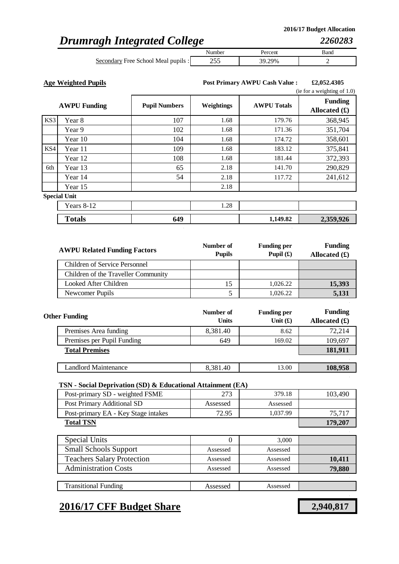## *Drumragh Integrated College*

|                                     | Number | 'ercent | Band |
|-------------------------------------|--------|---------|------|
| Secondary Free School Meal pupils : | ن ب    | 29%     |      |

**Age Weighted Pupils £2,052.4305 Post Primary AWPU Cash Value :**

|     | (ie for a weighting of $1.0$ ) |                      |            |                    |                                   |  |
|-----|--------------------------------|----------------------|------------|--------------------|-----------------------------------|--|
|     | <b>AWPU Funding</b>            | <b>Pupil Numbers</b> | Weightings | <b>AWPU Totals</b> | <b>Funding</b><br>Allocated $(f)$ |  |
| KS3 | Year 8                         | 107                  | 1.68       | 179.76             | 368,945                           |  |
|     | Year 9                         | 102                  | 1.68       | 171.36             | 351,704                           |  |
|     | Year 10                        | 104                  | 1.68       | 174.72             | 358,601                           |  |
| KS4 | Year 11                        | 109                  | 1.68       | 183.12             | 375,841                           |  |
|     | Year 12                        | 108                  | 1.68       | 181.44             | 372,393                           |  |
| 6th | Year 13                        | 65                   | 2.18       | 141.70             | 290,829                           |  |
|     | Year 14                        | 54                   | 2.18       | 117.72             | 241,612                           |  |
|     | Year 15                        |                      | 2.18       |                    |                                   |  |
|     | <b>Special Unit</b>            |                      |            |                    |                                   |  |
|     | Years 8-12                     |                      | 1.28       |                    |                                   |  |
|     | <b>Totals</b>                  | 649                  |            | 1,149.82           | 2,359,926                         |  |

| <b>AWPU Related Funding Factors</b> | Number of<br><b>Pupils</b> | <b>Funding per</b><br>Pupil $(f)$ | <b>Funding</b><br>Allocated $(f)$ |
|-------------------------------------|----------------------------|-----------------------------------|-----------------------------------|
| Children of Service Personnel       |                            |                                   |                                   |
| Children of the Traveller Community |                            |                                   |                                   |
| Looked After Children               |                            | 1,026.22                          | 15,393                            |
| Newcomer Pupils                     |                            | 1,026.22                          | 5,131                             |

| <b>Other Funding</b>       | Number of<br><b>Units</b> | <b>Funding per</b><br>Unit $(f)$ | <b>Funding</b><br>Allocated $(f)$ |
|----------------------------|---------------------------|----------------------------------|-----------------------------------|
| Premises Area funding      | 8,381.40                  | 8.62                             | 72,214                            |
| Premises per Pupil Funding | 649                       | 169.02                           | 109,697                           |
| <b>Total Premises</b>      |                           |                                  | 181,911                           |
|                            |                           |                                  |                                   |
| Landlord Maintenance       | 8,381.40                  | 13.00                            | 108,958                           |

### **TSN - Social Deprivation (SD) & Educational Attainment (EA)**

| Post-primary SD - weighted FSME     | 273      | 379.18   | 103,490 |
|-------------------------------------|----------|----------|---------|
| Post Primary Additional SD          | Assessed | Assessed |         |
| Post-primary EA - Key Stage intakes | 72.95    | 1,037.99 | 75,717  |
| <b>Total TSN</b>                    |          |          | 179,207 |
|                                     |          |          |         |
| <b>Special Units</b>                | 0        | 3,000    |         |
| <b>Small Schools Support</b>        | Assessed | Assessed |         |
| <b>Teachers Salary Protection</b>   | Assessed | Assessed | 10,411  |
| <b>Administration Costs</b>         | Assessed | Assessed | 79,880  |
|                                     |          |          |         |
| <b>Transitional Funding</b>         | Assessed | Assessed |         |

### **2016/17 CFF Budget Share 2,940,817**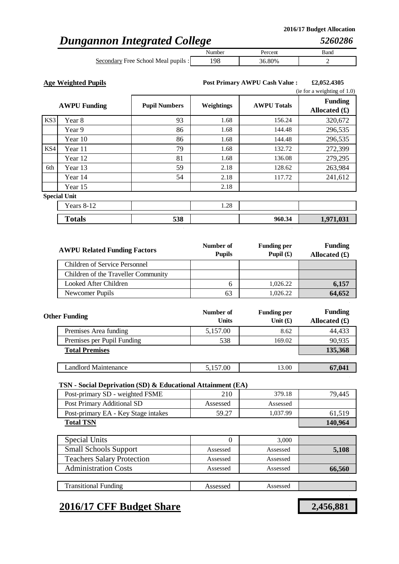## *Dungannon Integrated College*

|                                     | Aumber | ercent | Bano |
|-------------------------------------|--------|--------|------|
| Secondary Free School Meal pupils : |        | 80%    |      |

**Age Weighted Pupils £2,052.4305 Post Primary AWPU Cash Value :**

|     | (ie for a weighting of $1.0$ ) |                      |            |                    |                                   |  |
|-----|--------------------------------|----------------------|------------|--------------------|-----------------------------------|--|
|     | <b>AWPU Funding</b>            | <b>Pupil Numbers</b> | Weightings | <b>AWPU Totals</b> | <b>Funding</b><br>Allocated $(f)$ |  |
| KS3 | Year 8                         | 93                   | 1.68       | 156.24             | 320,672                           |  |
|     | Year 9                         | 86                   | 1.68       | 144.48             | 296,535                           |  |
|     | Year 10                        | 86                   | 1.68       | 144.48             | 296,535                           |  |
| KS4 | Year 11                        | 79                   | 1.68       | 132.72             | 272,399                           |  |
|     | Year 12                        | 81                   | 1.68       | 136.08             | 279,295                           |  |
| 6th | Year 13                        | 59                   | 2.18       | 128.62             | 263,984                           |  |
|     | Year 14                        | 54                   | 2.18       | 117.72             | 241,612                           |  |
|     | Year 15                        |                      | 2.18       |                    |                                   |  |
|     | <b>Special Unit</b>            |                      |            |                    |                                   |  |
|     | Years 8-12                     |                      | 1.28       |                    |                                   |  |
|     | <b>Totals</b>                  | 538                  |            | 960.34             | 1,971,031                         |  |

| <b>AWPU Related Funding Factors</b> | Number of<br><b>Pupils</b> | <b>Funding per</b><br>Pupil $(f)$ | <b>Funding</b><br>Allocated $(\pounds)$ |
|-------------------------------------|----------------------------|-----------------------------------|-----------------------------------------|
| Children of Service Personnel       |                            |                                   |                                         |
| Children of the Traveller Community |                            |                                   |                                         |
| Looked After Children               | h                          | 1,026.22                          | 6,157                                   |
| Newcomer Pupils                     | 63                         | 1,026.22                          | 64,652                                  |

| <b>Other Funding</b>       | Number of<br><b>Units</b> | <b>Funding per</b><br>Unit $(f)$ | <b>Funding</b><br>Allocated $(f)$ |
|----------------------------|---------------------------|----------------------------------|-----------------------------------|
| Premises Area funding      | 5,157.00                  | 8.62                             | 44,433                            |
| Premises per Pupil Funding | 538                       | 169.02                           | 90,935                            |
| <b>Total Premises</b>      |                           |                                  | 135,368                           |
|                            |                           |                                  |                                   |
| Landlord Maintenance       | 5,157.00                  | 13.00                            | 67,041                            |

### **TSN - Social Deprivation (SD) & Educational Attainment (EA)**

| Post-primary SD - weighted FSME     | 210      | 379.18   | 79,445  |
|-------------------------------------|----------|----------|---------|
| Post Primary Additional SD          | Assessed | Assessed |         |
| Post-primary EA - Key Stage intakes | 59.27    | 1,037.99 | 61,519  |
| <b>Total TSN</b>                    |          |          | 140,964 |
|                                     |          |          |         |
| <b>Special Units</b>                | 0        | 3,000    |         |
| <b>Small Schools Support</b>        | Assessed | Assessed | 5,108   |
| <b>Teachers Salary Protection</b>   | Assessed | Assessed |         |
| <b>Administration Costs</b>         | Assessed | Assessed | 66,560  |
|                                     |          |          |         |
| <b>Transitional Funding</b>         | Assessed | Assessed |         |

## **2016/17 CFF Budget Share 2,456,881**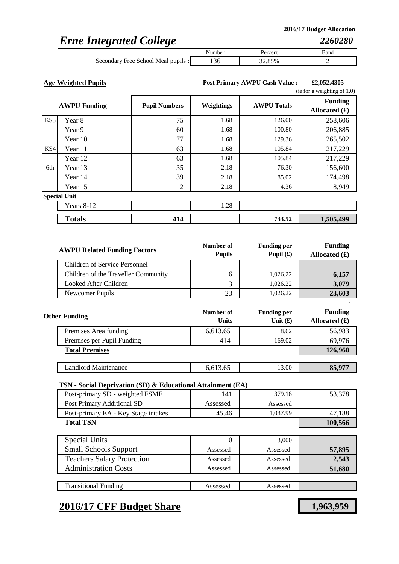## *Erne Integrated College*

|                                                         | Number | 'ercent | Band |
|---------------------------------------------------------|--------|---------|------|
| $\sim$ $\sim$<br>Free School Meal pupils :<br>Secondary |        | 32.85%  | -    |

**Age Weighted Pupils £2,052.4305 Post Primary AWPU Cash Value :**

|     |                     |                      |            |                    | (ie for a weighting of $1.0$ )    |  |
|-----|---------------------|----------------------|------------|--------------------|-----------------------------------|--|
|     | <b>AWPU Funding</b> | <b>Pupil Numbers</b> | Weightings | <b>AWPU Totals</b> | <b>Funding</b><br>Allocated $(f)$ |  |
| KS3 | Year 8              | 75                   | 1.68       | 126.00             | 258,606                           |  |
|     | Year 9              | 60                   | 1.68       | 100.80             | 206,885                           |  |
|     | Year 10             | 77                   | 1.68       | 129.36             | 265,502                           |  |
| KS4 | Year 11             | 63                   | 1.68       | 105.84             | 217,229                           |  |
|     | Year 12             | 63                   | 1.68       | 105.84             | 217,229                           |  |
| 6th | Year 13             | 35                   | 2.18       | 76.30              | 156,600                           |  |
|     | Year 14             | 39                   | 2.18       | 85.02              | 174,498                           |  |
|     | Year 15             | 2                    | 2.18       | 4.36               | 8,949                             |  |
|     | <b>Special Unit</b> |                      |            |                    |                                   |  |
|     | Years 8-12          |                      | 1.28       |                    |                                   |  |
|     | <b>Totals</b>       | 414                  |            | 733.52             | 1,505,499                         |  |

| <b>AWPU Related Funding Factors</b>  | Number of<br><b>Pupils</b> | <b>Funding per</b><br>Pupil $(\mathbf{f})$ | <b>Funding</b><br>Allocated $(\mathbf{\pounds})$ |
|--------------------------------------|----------------------------|--------------------------------------------|--------------------------------------------------|
| <b>Children of Service Personnel</b> |                            |                                            |                                                  |
| Children of the Traveller Community  |                            | 1,026.22                                   | 6,157                                            |
| Looked After Children                |                            | 1,026.22                                   | 3,079                                            |
| Newcomer Pupils                      | 23                         | 1,026.22                                   | 23,603                                           |

| <b>Other Funding</b>       | Number of<br><b>Units</b> | <b>Funding per</b><br>Unit $(f)$ | <b>Funding</b><br>Allocated $(f)$ |
|----------------------------|---------------------------|----------------------------------|-----------------------------------|
| Premises Area funding      | 6,613.65                  | 8.62                             | 56,983                            |
| Premises per Pupil Funding | 414                       | 169.02                           | 69,976                            |
| <b>Total Premises</b>      |                           |                                  | 126,960                           |
|                            |                           |                                  |                                   |
| Landlord Maintenance       | 6,613.65                  | 13.00                            | 85,977                            |

### **TSN - Social Deprivation (SD) & Educational Attainment (EA)**

| Post-primary SD - weighted FSME     | 141      | 379.18   | 53,378  |
|-------------------------------------|----------|----------|---------|
| Post Primary Additional SD          | Assessed | Assessed |         |
| Post-primary EA - Key Stage intakes | 45.46    | 1,037.99 | 47,188  |
| <b>Total TSN</b>                    |          |          | 100,566 |
|                                     |          |          |         |
| <b>Special Units</b>                |          | 3.000    |         |
| <b>Small Schools Support</b>        | Assessed | Assessed | 57,895  |
| <b>Teachers Salary Protection</b>   | Assessed | Assessed | 2,543   |
| <b>Administration Costs</b>         | Assessed | Assessed | 51,680  |
|                                     |          |          |         |
| <b>Transitional Funding</b>         | Assessed | Assessed |         |

## **2016/17 CFF Budget Share 1,963,959**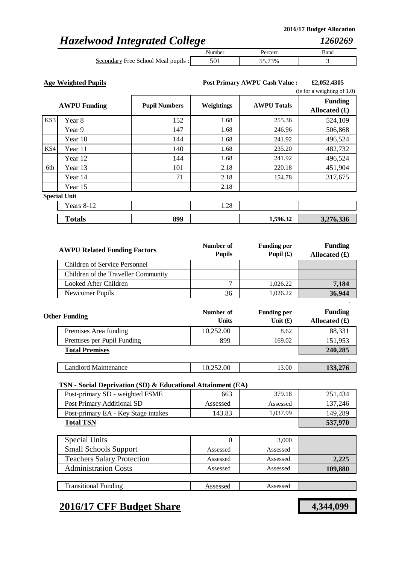*1260269*

## *Hazelwood Integrated College*

|                                     | Numbe | ercent. | Banc |
|-------------------------------------|-------|---------|------|
| Secondary Free School Meal pupils : |       | '3%     |      |

**Age Weighted Pupils £2,052.4305 Post Primary AWPU Cash Value :**

|     | (ie for a weighting of $1.0$ ) |                      |            |                    |                                   |
|-----|--------------------------------|----------------------|------------|--------------------|-----------------------------------|
|     | <b>AWPU Funding</b>            | <b>Pupil Numbers</b> | Weightings | <b>AWPU Totals</b> | <b>Funding</b><br>Allocated $(f)$ |
| KS3 | Year 8                         | 152                  | 1.68       | 255.36             | 524,109                           |
|     | Year 9                         | 147                  | 1.68       | 246.96             | 506,868                           |
|     | Year 10                        | 144                  | 1.68       | 241.92             | 496,524                           |
| KS4 | Year 11                        | 140                  | 1.68       | 235.20             | 482,732                           |
|     | Year 12                        | 144                  | 1.68       | 241.92             | 496,524                           |
| 6th | Year 13                        | 101                  | 2.18       | 220.18             | 451,904                           |
|     | Year 14                        | 71                   | 2.18       | 154.78             | 317,675                           |
|     | Year 15                        |                      | 2.18       |                    |                                   |
|     | <b>Special Unit</b>            |                      |            |                    |                                   |
|     | Years 8-12                     |                      | 1.28       |                    |                                   |
|     | <b>Totals</b>                  | 899                  |            | 1,596.32           | 3,276,336                         |

| <b>AWPU Related Funding Factors</b> | Number of<br><b>Pupils</b> | <b>Funding per</b><br>Pupil $(f)$ | <b>Funding</b><br>Allocated $(\pounds)$ |
|-------------------------------------|----------------------------|-----------------------------------|-----------------------------------------|
| Children of Service Personnel       |                            |                                   |                                         |
| Children of the Traveller Community |                            |                                   |                                         |
| Looked After Children               | ⇁                          | 1,026.22                          | 7,184                                   |
| Newcomer Pupils                     | 36                         | 1,026.22                          | 36,944                                  |

| <b>Other Funding</b>       | Number of<br><b>Units</b> | <b>Funding per</b><br>Unit $(f)$ | <b>Funding</b><br>Allocated $(f)$ |
|----------------------------|---------------------------|----------------------------------|-----------------------------------|
| Premises Area funding      | 10,252.00                 | 8.62                             | 88,331                            |
| Premises per Pupil Funding | 899                       | 169.02                           | 151,953                           |
| <b>Total Premises</b>      |                           |                                  | 240,285                           |
|                            |                           |                                  |                                   |
| Landlord Maintenance       | 10,252.00                 | 13.00                            | 133,276                           |

### **TSN - Social Deprivation (SD) & Educational Attainment (EA)**

| Post-primary SD - weighted FSME     | 663      | 379.18   | 251,434 |
|-------------------------------------|----------|----------|---------|
| Post Primary Additional SD          | Assessed | Assessed | 137,246 |
| Post-primary EA - Key Stage intakes | 143.83   | 1,037.99 | 149,289 |
| <b>Total TSN</b>                    |          |          | 537,970 |
|                                     |          |          |         |
| Special Units                       | 0        | 3,000    |         |
| <b>Small Schools Support</b>        | Assessed | Assessed |         |
| <b>Teachers Salary Protection</b>   | Assessed | Assessed | 2,225   |
| Administration Costs                | Assessed | Assessed | 109,880 |
|                                     |          |          |         |
| <b>Transitional Funding</b>         | Assessed | Assessed |         |

### **2016/17 CFF Budget Share 4,344,099**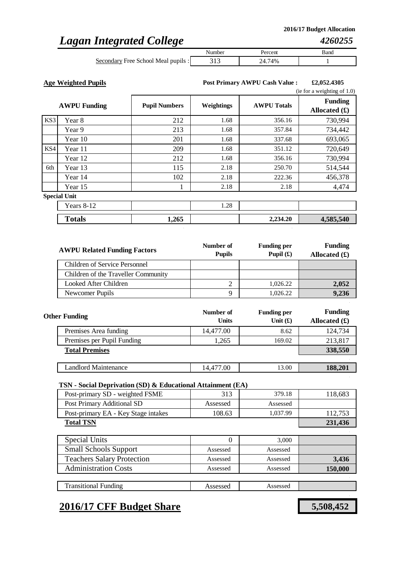## *Lagan Integrated College*

|                                     | Number | ercent. | Band |
|-------------------------------------|--------|---------|------|
| Secondary Free School Meal pupils : |        | 4%      |      |

**Age Weighted Pupils £2,052.4305 Post Primary AWPU Cash Value :**

|     |                     |                      |            |                    | (ie for a weighting of $1.0$ )    |
|-----|---------------------|----------------------|------------|--------------------|-----------------------------------|
|     | <b>AWPU Funding</b> | <b>Pupil Numbers</b> | Weightings | <b>AWPU Totals</b> | <b>Funding</b><br>Allocated $(f)$ |
| KS3 | Year 8              | 212                  | 1.68       | 356.16             | 730,994                           |
|     | Year 9              | 213                  | 1.68       | 357.84             | 734,442                           |
|     | Year 10             | 201                  | 1.68       | 337.68             | 693,065                           |
| KS4 | Year 11             | 209                  | 1.68       | 351.12             | 720,649                           |
|     | Year 12             | 212                  | 1.68       | 356.16             | 730,994                           |
| 6th | Year 13             | 115                  | 2.18       | 250.70             | 514,544                           |
|     | Year 14             | 102                  | 2.18       | 222.36             | 456,378                           |
|     | Year 15             |                      | 2.18       | 2.18               | 4,474                             |
|     | <b>Special Unit</b> |                      |            |                    |                                   |
|     | Years 8-12          |                      | 1.28       |                    |                                   |
|     | <b>Totals</b>       | 1,265                |            | 2,234.20           | 4,585,540                         |

| <b>AWPU Related Funding Factors</b> | Number of<br><b>Pupils</b> | <b>Funding per</b><br>Pupil $(f)$ | <b>Funding</b><br>Allocated $(\pounds)$ |
|-------------------------------------|----------------------------|-----------------------------------|-----------------------------------------|
| Children of Service Personnel       |                            |                                   |                                         |
| Children of the Traveller Community |                            |                                   |                                         |
| Looked After Children               |                            | 1,026.22                          | 2,052                                   |
| Newcomer Pupils                     |                            | 1,026.22                          | 9,236                                   |

| <b>Other Funding</b>        | Number of<br><b>Units</b> | <b>Funding per</b><br>Unit $(f)$ | <b>Funding</b><br>Allocated $(f)$ |
|-----------------------------|---------------------------|----------------------------------|-----------------------------------|
| Premises Area funding       | 14,477.00                 | 8.62                             | 124,734                           |
| Premises per Pupil Funding  | 1,265                     | 169.02                           | 213,817                           |
| <b>Total Premises</b>       |                           |                                  | 338,550                           |
|                             |                           |                                  |                                   |
| <b>Landlord Maintenance</b> | 14,477.00                 | 13.00                            | 188,201                           |

### **TSN - Social Deprivation (SD) & Educational Attainment (EA)**

| Post-primary SD - weighted FSME     | 313      | 379.18   | 118,683 |
|-------------------------------------|----------|----------|---------|
| Post Primary Additional SD          | Assessed | Assessed |         |
| Post-primary EA - Key Stage intakes | 108.63   | 1,037.99 | 112,753 |
| <b>Total TSN</b>                    |          |          | 231,436 |
|                                     |          |          |         |
| <b>Special Units</b>                | 0        | 3,000    |         |
| <b>Small Schools Support</b>        | Assessed | Assessed |         |
| <b>Teachers Salary Protection</b>   | Assessed | Assessed | 3,436   |
| <b>Administration Costs</b>         | Assessed | Assessed | 150,000 |
|                                     |          |          |         |
| <b>Transitional Funding</b>         | Assessed | Assessed |         |

## **2016/17 CFF Budget Share 5,508,452**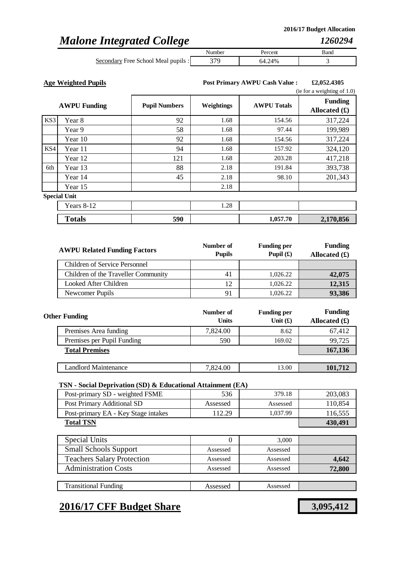## *Malone Integrated College*

|                                     | Numbe <sup>*</sup> | 'ercem | Band |
|-------------------------------------|--------------------|--------|------|
| Secondary Free School Meal pupils : |                    | '4%    |      |

**Age Weighted Pupils £2,052.4305 Post Primary AWPU Cash Value :**

|     |                     |                      |                   |                    | (ie for a weighting of $1.0$ )    |
|-----|---------------------|----------------------|-------------------|--------------------|-----------------------------------|
|     | <b>AWPU Funding</b> | <b>Pupil Numbers</b> | <b>Weightings</b> | <b>AWPU Totals</b> | <b>Funding</b><br>Allocated $(f)$ |
| KS3 | Year 8              | 92                   | 1.68              | 154.56             | 317,224                           |
|     | Year 9              | 58                   | 1.68              | 97.44              | 199,989                           |
|     | Year 10             | 92                   | 1.68              | 154.56             | 317,224                           |
| KS4 | Year 11             | 94                   | 1.68              | 157.92             | 324,120                           |
|     | Year 12             | 121                  | 1.68              | 203.28             | 417,218                           |
| 6th | Year 13             | 88                   | 2.18              | 191.84             | 393,738                           |
|     | Year 14             | 45                   | 2.18              | 98.10              | 201,343                           |
|     | Year 15             |                      | 2.18              |                    |                                   |
|     | <b>Special Unit</b> |                      |                   |                    |                                   |
|     | Years 8-12          |                      | 1.28              |                    |                                   |
|     | <b>Totals</b>       | 590                  |                   | 1,057.70           | 2,170,856                         |

| <b>AWPU Related Funding Factors</b> | Number of<br><b>Pupils</b> | <b>Funding per</b><br>Pupil $(f)$ | <b>Funding</b><br>Allocated $(\pounds)$ |
|-------------------------------------|----------------------------|-----------------------------------|-----------------------------------------|
| Children of Service Personnel       |                            |                                   |                                         |
| Children of the Traveller Community | 41                         | 1,026.22                          | 42,075                                  |
| Looked After Children               |                            | 1,026.22                          | 12,315                                  |
| Newcomer Pupils                     |                            | 1,026.22                          | 93,386                                  |

| <b>Other Funding</b>        | Number of<br><b>Units</b> | <b>Funding per</b><br>Unit $(f)$ | <b>Funding</b><br>Allocated $(f)$ |
|-----------------------------|---------------------------|----------------------------------|-----------------------------------|
| Premises Area funding       | 7,824.00                  | 8.62                             | 67,412                            |
| Premises per Pupil Funding  | 590                       | 169.02                           | 99,725                            |
| <b>Total Premises</b>       |                           |                                  | 167,136                           |
|                             |                           |                                  |                                   |
| <b>Landlord Maintenance</b> | 7,824.00                  | 13.00                            | 101,712                           |

### **TSN - Social Deprivation (SD) & Educational Attainment (EA)**

| Post-primary SD - weighted FSME     | 536      | 379.18   | 203,083 |
|-------------------------------------|----------|----------|---------|
| Post Primary Additional SD          | Assessed | Assessed | 110,854 |
| Post-primary EA - Key Stage intakes | 112.29   | 1,037.99 | 116,555 |
| <b>Total TSN</b>                    |          |          | 430,491 |
|                                     |          |          |         |
| Special Units                       | 0        | 3,000    |         |
| <b>Small Schools Support</b>        | Assessed | Assessed |         |
| <b>Teachers Salary Protection</b>   | Assessed | Assessed | 4,642   |
| <b>Administration Costs</b>         | Assessed | Assessed | 72,800  |
|                                     |          |          |         |
| <b>Transitional Funding</b>         | Assessed | Assessed |         |

## **2016/17 CFF Budget Share 3,095,412**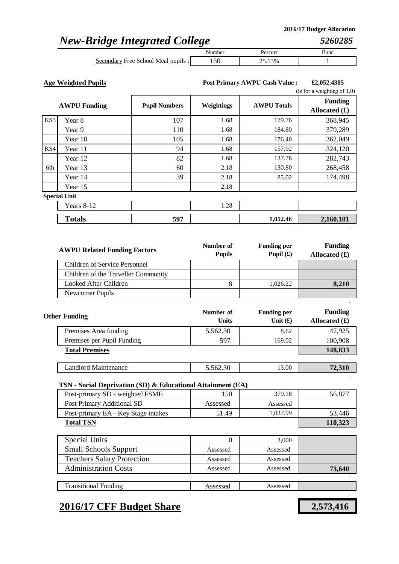*5260285*

## *New-Bridge Integrated College*

|                                     | Number | Percent | Band |
|-------------------------------------|--------|---------|------|
| Secondary Free School Meal pupils : |        | 25.13%  |      |

**Age Weighted Pupils £2,052.4305 Post Primary AWPU Cash Value :**

|     |                     |                      |            |                    | (ie for a weighting of $1.0$ )    |
|-----|---------------------|----------------------|------------|--------------------|-----------------------------------|
|     | <b>AWPU Funding</b> | <b>Pupil Numbers</b> | Weightings | <b>AWPU Totals</b> | <b>Funding</b><br>Allocated $(f)$ |
| KS3 | Year 8              | 107                  | 1.68       | 179.76             | 368,945                           |
|     | Year 9              | 110                  | 1.68       | 184.80             | 379,289                           |
|     | Year 10             | 105                  | 1.68       | 176.40             | 362,049                           |
| KS4 | Year 11             | 94                   | 1.68       | 157.92             | 324,120                           |
|     | Year 12             | 82                   | 1.68       | 137.76             | 282,743                           |
| 6th | Year 13             | 60                   | 2.18       | 130.80             | 268,458                           |
|     | Year 14             | 39                   | 2.18       | 85.02              | 174,498                           |
|     | Year 15             |                      | 2.18       |                    |                                   |
|     | <b>Special Unit</b> |                      |            |                    |                                   |
|     | Years 8-12          |                      | 1.28       |                    |                                   |
|     | <b>Totals</b>       | 597                  |            | 1,052.46           | 2,160,101                         |

| <b>AWPU Related Funding Factors</b> | Number of<br><b>Pupils</b> | <b>Funding per</b><br>Pupil $(f)$ | <b>Funding</b><br>Allocated $(\pounds)$ |
|-------------------------------------|----------------------------|-----------------------------------|-----------------------------------------|
| Children of Service Personnel       |                            |                                   |                                         |
| Children of the Traveller Community |                            |                                   |                                         |
| Looked After Children               |                            | 1,026.22                          | 8,210                                   |
| Newcomer Pupils                     |                            |                                   |                                         |

| <b>Other Funding</b>       | Number of<br><b>Units</b> | <b>Funding per</b><br>Unit $(f)$ | <b>Funding</b><br>Allocated $(f)$ |
|----------------------------|---------------------------|----------------------------------|-----------------------------------|
| Premises Area funding      | 5,562.30                  | 8.62                             | 47,925                            |
| Premises per Pupil Funding | 597                       | 169.02                           | 100,908                           |
| <b>Total Premises</b>      |                           |                                  | 148,833                           |
|                            |                           |                                  |                                   |
| Landlord Maintenance       | 5,562.30                  | 13.00                            | 72,310                            |

### **TSN - Social Deprivation (SD) & Educational Attainment (EA)**

| Post-primary SD - weighted FSME     | 150      | 379.18   | 56,877  |
|-------------------------------------|----------|----------|---------|
| Post Primary Additional SD          | Assessed | Assessed |         |
| Post-primary EA - Key Stage intakes | 51.49    | 1,037.99 | 53,446  |
| <b>Total TSN</b>                    |          |          | 110,323 |
|                                     |          |          |         |
| <b>Special Units</b>                | 0        | 3,000    |         |
| <b>Small Schools Support</b>        | Assessed | Assessed |         |
| <b>Teachers Salary Protection</b>   | Assessed | Assessed |         |
| <b>Administration Costs</b>         | Assessed | Assessed | 73,640  |
|                                     |          |          |         |
| <b>Transitional Funding</b>         | Assessed | Assessed |         |

### **2016/17 CFF Budget Share 2,573,416**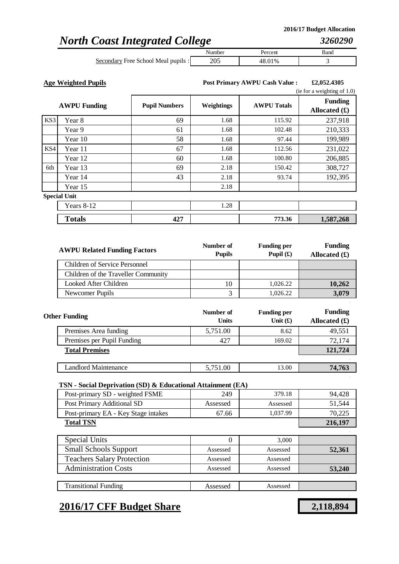## *North Coast Integrated College*

| -                                   | -      |            |      |
|-------------------------------------|--------|------------|------|
|                                     | Number | Percent    | Band |
| Secondary Free School Meal pupils : | 205    | .01%<br>48 |      |

**Age Weighted Pupils £2,052.4305 Post Primary AWPU Cash Value :**

|     |                     |                      |            | (ie for a weighting of $1.0$ ) |                                   |
|-----|---------------------|----------------------|------------|--------------------------------|-----------------------------------|
|     | <b>AWPU Funding</b> | <b>Pupil Numbers</b> | Weightings | <b>AWPU Totals</b>             | <b>Funding</b><br>Allocated $(f)$ |
| KS3 | Year 8              | 69                   | 1.68       | 115.92                         | 237,918                           |
|     | Year 9              | 61                   | 1.68       | 102.48                         | 210,333                           |
|     | Year 10             | 58                   | 1.68       | 97.44                          | 199,989                           |
| KS4 | Year 11             | 67                   | 1.68       | 112.56                         | 231,022                           |
|     | Year 12             | 60                   | 1.68       | 100.80                         | 206,885                           |
| 6th | Year 13             | 69                   | 2.18       | 150.42                         | 308,727                           |
|     | Year 14             | 43                   | 2.18       | 93.74                          | 192,395                           |
|     | Year 15             |                      | 2.18       |                                |                                   |
|     | <b>Special Unit</b> |                      |            |                                |                                   |
|     | Years 8-12          |                      | 1.28       |                                |                                   |
|     | <b>Totals</b>       | 427                  |            | 773.36                         | 1,587,268                         |

| <b>AWPU Related Funding Factors</b> | Number of<br><b>Pupils</b> | <b>Funding per</b><br>Pupil $(f)$ | <b>Funding</b><br>Allocated $(\pounds)$ |
|-------------------------------------|----------------------------|-----------------------------------|-----------------------------------------|
| Children of Service Personnel       |                            |                                   |                                         |
| Children of the Traveller Community |                            |                                   |                                         |
| Looked After Children               | 10                         | 1,026.22                          | 10,262                                  |
| Newcomer Pupils                     |                            | 1,026.22                          | 3,079                                   |

| <b>Other Funding</b>       | Number of<br><b>Units</b> | <b>Funding per</b><br>Unit $(f)$ | <b>Funding</b><br>Allocated $(f)$ |
|----------------------------|---------------------------|----------------------------------|-----------------------------------|
| Premises Area funding      | 5,751.00                  | 8.62                             | 49,551                            |
| Premises per Pupil Funding | 427                       | 169.02                           | 72,174                            |
| <b>Total Premises</b>      |                           |                                  | 121,724                           |
|                            |                           |                                  |                                   |
| Landlord Maintenance       | 5,751.00                  | 13.00                            | 74,763                            |

### **TSN - Social Deprivation (SD) & Educational Attainment (EA)**

| Post-primary SD - weighted FSME     | 249      | 379.18   | 94,428  |
|-------------------------------------|----------|----------|---------|
| Post Primary Additional SD          | Assessed | Assessed | 51,544  |
| Post-primary EA - Key Stage intakes | 67.66    | 1,037.99 | 70,225  |
| <b>Total TSN</b>                    |          |          | 216,197 |
|                                     |          |          |         |
| <b>Special Units</b>                | 0        | 3,000    |         |
| <b>Small Schools Support</b>        | Assessed | Assessed | 52,361  |
| <b>Teachers Salary Protection</b>   | Assessed | Assessed |         |
| <b>Administration Costs</b>         | Assessed | Assessed | 53,240  |
|                                     |          |          |         |
| <b>Transitional Funding</b>         | Assessed | Assessed |         |

## **2016/17 CFF Budget Share 2,118,894**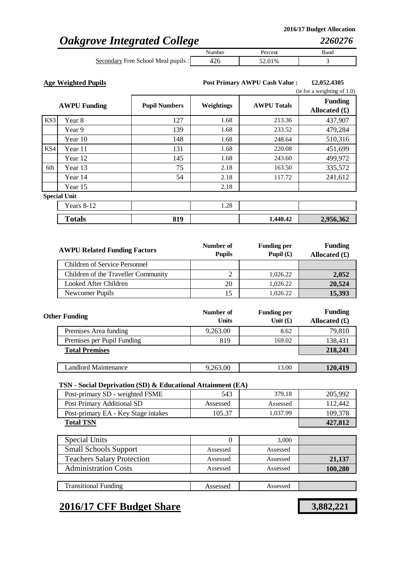## *Oakgrove Integrated College*

|                                                        | Number | 'ercent | Band |  |
|--------------------------------------------------------|--------|---------|------|--|
| $\cdot$ $\cdot$<br>Secondary Free School Meal pupils : |        | 52.01%  |      |  |

**Age Weighted Pupils £2,052.4305 Post Primary AWPU Cash Value :**

|     | (ie for a weighting of $1.0$ ) |                      |                   |                    |                                   |
|-----|--------------------------------|----------------------|-------------------|--------------------|-----------------------------------|
|     | <b>AWPU Funding</b>            | <b>Pupil Numbers</b> | <b>Weightings</b> | <b>AWPU Totals</b> | <b>Funding</b><br>Allocated $(f)$ |
| KS3 | Year 8                         | 127                  | 1.68              | 213.36             | 437,907                           |
|     | Year 9                         | 139                  | 1.68              | 233.52             | 479,284                           |
|     | Year 10                        | 148                  | 1.68              | 248.64             | 510,316                           |
| KS4 | Year 11                        | 131                  | 1.68              | 220.08             | 451,699                           |
|     | Year 12                        | 145                  | 1.68              | 243.60             | 499,972                           |
| 6th | Year 13                        | 75                   | 2.18              | 163.50             | 335,572                           |
|     | Year 14                        | 54                   | 2.18              | 117.72             | 241,612                           |
|     | Year 15                        |                      | 2.18              |                    |                                   |
|     | <b>Special Unit</b>            |                      |                   |                    |                                   |
|     | Years 8-12                     |                      | 1.28              |                    |                                   |
|     | <b>Totals</b>                  | 819                  |                   | 1,440.42           | 2,956,362                         |

| <b>AWPU Related Funding Factors</b> | Number of<br><b>Pupils</b> | <b>Funding per</b><br>Pupil $(f)$ | <b>Funding</b><br>Allocated $(f)$ |
|-------------------------------------|----------------------------|-----------------------------------|-----------------------------------|
| Children of Service Personnel       |                            |                                   |                                   |
| Children of the Traveller Community |                            | 1,026.22                          | 2,052                             |
| Looked After Children               | 20                         | 1,026.22                          | 20,524                            |
| Newcomer Pupils                     |                            | 1,026.22                          | 15,393                            |

| <b>Other Funding</b>       | Number of<br><b>Units</b> | <b>Funding per</b><br>Unit $(f)$ | <b>Funding</b><br>Allocated $(\mathbf{\hat{f}})$ |
|----------------------------|---------------------------|----------------------------------|--------------------------------------------------|
| Premises Area funding      | 9,263.00                  | 8.62                             | 79,810                                           |
| Premises per Pupil Funding | 819                       | 169.02                           | 138,431                                          |
| <b>Total Premises</b>      |                           |                                  | 218,241                                          |
|                            |                           |                                  |                                                  |
| Landlord Maintenance       | 9,263.00                  | 13.00                            | 120,419                                          |

### **TSN - Social Deprivation (SD) & Educational Attainment (EA)**

| Post-primary SD - weighted FSME     | 543      | 379.18   | 205,992 |
|-------------------------------------|----------|----------|---------|
| Post Primary Additional SD          | Assessed | Assessed | 112,442 |
| Post-primary EA - Key Stage intakes | 105.37   | 1,037.99 | 109,378 |
| <b>Total TSN</b>                    |          |          | 427,812 |
|                                     |          |          |         |
| Special Units                       | 0        | 3,000    |         |
| <b>Small Schools Support</b>        | Assessed | Assessed |         |
| <b>Teachers Salary Protection</b>   | Assessed | Assessed | 21,137  |
| <b>Administration Costs</b>         | Assessed | Assessed | 100,280 |
|                                     |          |          |         |
| <b>Transitional Funding</b>         | Assessed | Assessed |         |

## **2016/17 CFF Budget Share 3,882,221**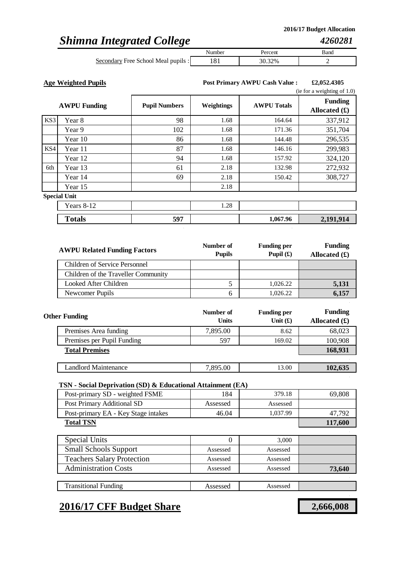## *Shimna Integrated College*

|                                     | Number | Percent | Band |
|-------------------------------------|--------|---------|------|
| Secondary Free School Meal pupils : |        | 32%     |      |

**Age Weighted Pupils £2,052.4305 Post Primary AWPU Cash Value :**

|     | (ie for a weighting of $1.0$ ) |                      |            |                    |                                   |
|-----|--------------------------------|----------------------|------------|--------------------|-----------------------------------|
|     | <b>AWPU Funding</b>            | <b>Pupil Numbers</b> | Weightings | <b>AWPU Totals</b> | <b>Funding</b><br>Allocated $(f)$ |
| KS3 | Year 8                         | 98                   | 1.68       | 164.64             | 337,912                           |
|     | Year 9                         | 102                  | 1.68       | 171.36             | 351,704                           |
|     | Year 10                        | 86                   | 1.68       | 144.48             | 296,535                           |
| KS4 | Year 11                        | 87                   | 1.68       | 146.16             | 299,983                           |
|     | Year 12                        | 94                   | 1.68       | 157.92             | 324,120                           |
| 6th | Year 13                        | 61                   | 2.18       | 132.98             | 272,932                           |
|     | Year 14                        | 69                   | 2.18       | 150.42             | 308,727                           |
|     | Year 15                        |                      | 2.18       |                    |                                   |
|     | <b>Special Unit</b>            |                      |            |                    |                                   |
|     | Years 8-12                     |                      | 1.28       |                    |                                   |
|     | <b>Totals</b>                  | 597                  |            | 1,067.96           | 2,191,914                         |

| <b>AWPU Related Funding Factors</b> | Number of<br><b>Pupils</b> | <b>Funding per</b><br>Pupil $(f)$ | <b>Funding</b><br>Allocated $(\pounds)$ |
|-------------------------------------|----------------------------|-----------------------------------|-----------------------------------------|
| Children of Service Personnel       |                            |                                   |                                         |
| Children of the Traveller Community |                            |                                   |                                         |
| Looked After Children               |                            | 1,026.22                          | 5,131                                   |
| Newcomer Pupils                     | h                          | 1,026.22                          | 6.157                                   |

| <b>Other Funding</b>        | Number of<br><b>Units</b> | <b>Funding per</b><br>Unit $(f)$ | <b>Funding</b><br>Allocated $(f)$ |
|-----------------------------|---------------------------|----------------------------------|-----------------------------------|
| Premises Area funding       | 7,895.00                  | 8.62                             | 68,023                            |
| Premises per Pupil Funding  | 597                       | 169.02                           | 100,908                           |
| <b>Total Premises</b>       |                           |                                  | 168,931                           |
|                             |                           |                                  |                                   |
| <b>Landlord Maintenance</b> | 7,895.00                  | 13.00                            | 102,635                           |

### **TSN - Social Deprivation (SD) & Educational Attainment (EA)**

| Post-primary SD - weighted FSME     | 184      | 379.18   | 69,808  |
|-------------------------------------|----------|----------|---------|
| Post Primary Additional SD          | Assessed | Assessed |         |
| Post-primary EA - Key Stage intakes | 46.04    | 1,037.99 | 47,792  |
| <b>Total TSN</b>                    |          |          | 117,600 |
|                                     |          |          |         |
| <b>Special Units</b>                |          | 3,000    |         |
| <b>Small Schools Support</b>        | Assessed | Assessed |         |
| <b>Teachers Salary Protection</b>   | Assessed | Assessed |         |
| <b>Administration Costs</b>         | Assessed | Assessed | 73,640  |
|                                     |          |          |         |
| <b>Transitional Funding</b>         | Assessed | Assessed |         |

### **2016/17 CFF Budget Share 2,666,008**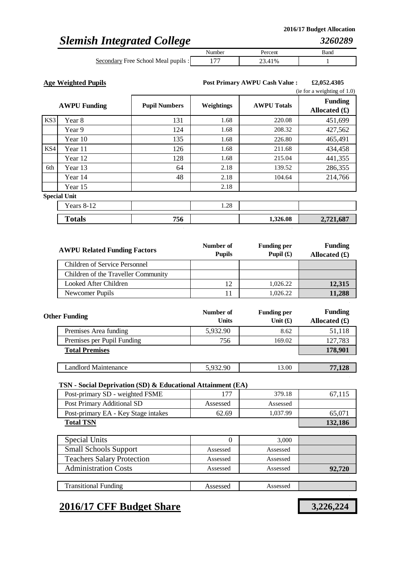## *Slemish Integrated College*

|                                     | Number | Percent | Bang |
|-------------------------------------|--------|---------|------|
| Secondary Free School Meal pupils : |        | .41%    |      |

**Age Weighted Pupils £2,052.4305 Post Primary AWPU Cash Value :**

|     | (ie for a weighting of $1.0$ ) |                      |                   |                    |                                   |
|-----|--------------------------------|----------------------|-------------------|--------------------|-----------------------------------|
|     | <b>AWPU Funding</b>            | <b>Pupil Numbers</b> | <b>Weightings</b> | <b>AWPU Totals</b> | <b>Funding</b><br>Allocated $(f)$ |
| KS3 | Year 8                         | 131                  | 1.68              | 220.08             | 451,699                           |
|     | Year 9                         | 124                  | 1.68              | 208.32             | 427,562                           |
|     | Year 10                        | 135                  | 1.68              | 226.80             | 465,491                           |
| KS4 | Year 11                        | 126                  | 1.68              | 211.68             | 434,458                           |
|     | Year 12                        | 128                  | 1.68              | 215.04             | 441,355                           |
| 6th | Year 13                        | 64                   | 2.18              | 139.52             | 286,355                           |
|     | Year 14                        | 48                   | 2.18              | 104.64             | 214,766                           |
|     | Year 15                        |                      | 2.18              |                    |                                   |
|     | <b>Special Unit</b>            |                      |                   |                    |                                   |
|     | Years 8-12                     |                      | 1.28              |                    |                                   |
|     | <b>Totals</b>                  | 756                  |                   | 1,326.08           | 2,721,687                         |

| <b>AWPU Related Funding Factors</b> | Number of<br><b>Pupils</b> | <b>Funding per</b><br>Pupil $(f)$ | <b>Funding</b><br>Allocated $(\pounds)$ |
|-------------------------------------|----------------------------|-----------------------------------|-----------------------------------------|
| Children of Service Personnel       |                            |                                   |                                         |
| Children of the Traveller Community |                            |                                   |                                         |
| Looked After Children               |                            | 1,026.22                          | 12,315                                  |
| Newcomer Pupils                     |                            | 1,026.22                          | 11,288                                  |

| <b>Other Funding</b>       | Number of<br><b>Units</b> | <b>Funding per</b><br>Unit $(f)$ | <b>Funding</b><br>Allocated $(f)$ |
|----------------------------|---------------------------|----------------------------------|-----------------------------------|
| Premises Area funding      | 5,932.90                  | 8.62                             | 51,118                            |
| Premises per Pupil Funding | 756                       | 169.02                           | 127,783                           |
| <b>Total Premises</b>      |                           |                                  | 178,901                           |
|                            |                           |                                  |                                   |
| Landlord Maintenance       | 5,932.90                  | 13.00                            | 77,128                            |

### **TSN - Social Deprivation (SD) & Educational Attainment (EA)**

| Post-primary SD - weighted FSME     | 177      | 379.18   | 67,115  |
|-------------------------------------|----------|----------|---------|
| Post Primary Additional SD          | Assessed | Assessed |         |
| Post-primary EA - Key Stage intakes | 62.69    | 1,037.99 | 65,071  |
| <b>Total TSN</b>                    |          |          | 132,186 |
|                                     |          |          |         |
| Special Units                       | 0        | 3,000    |         |
| <b>Small Schools Support</b>        | Assessed | Assessed |         |
| <b>Teachers Salary Protection</b>   | Assessed | Assessed |         |
| <b>Administration Costs</b>         | Assessed | Assessed | 92,720  |
|                                     |          |          |         |
| <b>Transitional Funding</b>         | Assessed | Assessed |         |

## **2016/17 CFF Budget Share 3,226,224**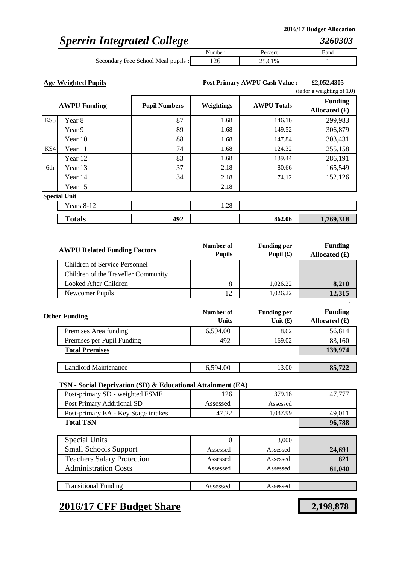## *Sperrin Integrated College*

|                                     | Number | ercent | Band |
|-------------------------------------|--------|--------|------|
| Secondary Free School Meal pupils : |        | 25.61% |      |

**Age Weighted Pupils £2,052.4305 Post Primary AWPU Cash Value :**

|     |                     |                      |            |                    | (ie for a weighting of $1.0$ )    |
|-----|---------------------|----------------------|------------|--------------------|-----------------------------------|
|     | <b>AWPU Funding</b> | <b>Pupil Numbers</b> | Weightings | <b>AWPU Totals</b> | <b>Funding</b><br>Allocated $(f)$ |
| KS3 | Year 8              | 87                   | 1.68       | 146.16             | 299,983                           |
|     | Year 9              | 89                   | 1.68       | 149.52             | 306,879                           |
|     | Year 10             | 88                   | 1.68       | 147.84             | 303,431                           |
| KS4 | Year 11             | 74                   | 1.68       | 124.32             | 255,158                           |
|     | Year 12             | 83                   | 1.68       | 139.44             | 286,191                           |
| 6th | Year 13             | 37                   | 2.18       | 80.66              | 165,549                           |
|     | Year 14             | 34                   | 2.18       | 74.12              | 152,126                           |
|     | Year 15             |                      | 2.18       |                    |                                   |
|     | <b>Special Unit</b> |                      |            |                    |                                   |
|     | Years 8-12          |                      | 1.28       |                    |                                   |
|     | <b>Totals</b>       | 492                  |            | 862.06             | 1,769,318                         |

| <b>AWPU Related Funding Factors</b> | Number of<br><b>Pupils</b> | <b>Funding per</b><br>Pupil $(f)$ | <b>Funding</b><br>Allocated $(\pounds)$ |
|-------------------------------------|----------------------------|-----------------------------------|-----------------------------------------|
| Children of Service Personnel       |                            |                                   |                                         |
| Children of the Traveller Community |                            |                                   |                                         |
| Looked After Children               |                            | 1,026.22                          | 8,210                                   |
| Newcomer Pupils                     |                            | 1,026.22                          | 12,315                                  |

| <b>Other Funding</b>        | Number of<br><b>Units</b> | <b>Funding per</b><br>Unit $(f)$ | <b>Funding</b><br>Allocated $(f)$ |
|-----------------------------|---------------------------|----------------------------------|-----------------------------------|
| Premises Area funding       | 6,594.00                  | 8.62                             | 56,814                            |
| Premises per Pupil Funding  | 492                       | 169.02                           | 83,160                            |
| <b>Total Premises</b>       |                           |                                  | 139,974                           |
|                             |                           |                                  |                                   |
| <b>Landlord Maintenance</b> | 6,594.00                  | 13.00                            | 85,722                            |

### **TSN - Social Deprivation (SD) & Educational Attainment (EA)**

| Post-primary SD - weighted FSME     | 126      | 379.18   | 47,777 |
|-------------------------------------|----------|----------|--------|
| Post Primary Additional SD          | Assessed | Assessed |        |
| Post-primary EA - Key Stage intakes | 47.22    | 1,037.99 | 49,011 |
| <b>Total TSN</b>                    |          |          | 96,788 |
|                                     |          |          |        |
| Special Units                       | 0        | 3,000    |        |
| <b>Small Schools Support</b>        | Assessed | Assessed | 24,691 |
| <b>Teachers Salary Protection</b>   | Assessed | Assessed | 821    |
| <b>Administration Costs</b>         | Assessed | Assessed | 61,040 |
|                                     |          |          |        |
| <b>Transitional Funding</b>         | Assessed | Assessed |        |

## **2016/17 CFF Budget Share 2,198,878**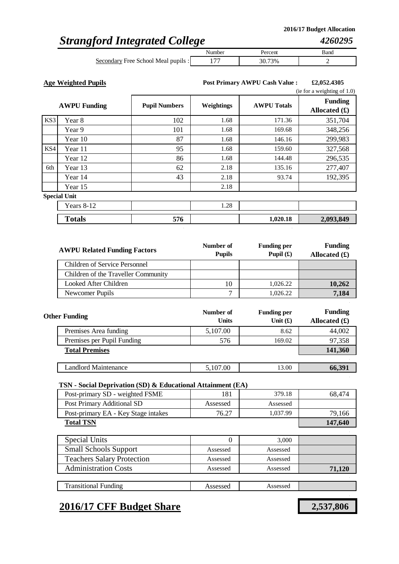*4260295*

## *Strangford Integrated College*

|                                     | Aumber | 'ercent | Band |
|-------------------------------------|--------|---------|------|
| Secondary Free School Meal pupils : |        | 73%     |      |

**Age Weighted Pupils £2,052.4305 Post Primary AWPU Cash Value :**

|     |                     |                      |            |                    | (ie for a weighting of $1.0$ )    |  |
|-----|---------------------|----------------------|------------|--------------------|-----------------------------------|--|
|     | <b>AWPU Funding</b> | <b>Pupil Numbers</b> | Weightings | <b>AWPU Totals</b> | <b>Funding</b><br>Allocated $(f)$ |  |
| KS3 | Year 8              | 102                  | 1.68       | 171.36             | 351,704                           |  |
|     | Year 9              | 101                  | 1.68       | 169.68             | 348,256                           |  |
|     | Year 10             | 87                   | 1.68       | 146.16             | 299,983                           |  |
| KS4 | Year 11             | 95                   | 1.68       | 159.60             | 327,568                           |  |
|     | Year 12             | 86                   | 1.68       | 144.48             | 296,535                           |  |
| 6th | Year 13             | 62                   | 2.18       | 135.16             | 277,407                           |  |
|     | Year 14             | 43                   | 2.18       | 93.74              | 192,395                           |  |
|     | Year 15             |                      | 2.18       |                    |                                   |  |
|     | <b>Special Unit</b> |                      |            |                    |                                   |  |
|     | Years 8-12          |                      | 1.28       |                    |                                   |  |
|     | <b>Totals</b>       | 576                  |            | 1,020.18           | 2,093,849                         |  |

| <b>AWPU Related Funding Factors</b> | Number of<br><b>Pupils</b> | <b>Funding per</b><br>Pupil $(f)$ | <b>Funding</b><br>Allocated $(\pounds)$ |
|-------------------------------------|----------------------------|-----------------------------------|-----------------------------------------|
| Children of Service Personnel       |                            |                                   |                                         |
| Children of the Traveller Community |                            |                                   |                                         |
| Looked After Children               | 10                         | 1,026.22                          | 10,262                                  |
| Newcomer Pupils                     | ⇁                          | 1,026.22                          | 7,184                                   |

| <b>Other Funding</b>       | Number of<br><b>Units</b> | <b>Funding per</b><br>Unit $(f)$ | <b>Funding</b><br>Allocated $(f)$ |
|----------------------------|---------------------------|----------------------------------|-----------------------------------|
| Premises Area funding      | 5,107.00                  | 8.62                             | 44,002                            |
| Premises per Pupil Funding | 576                       | 169.02                           | 97,358                            |
| <b>Total Premises</b>      |                           |                                  | 141,360                           |
|                            |                           |                                  |                                   |
| Landlord Maintenance       | 5,107.00                  | 13.00                            | 66,391                            |

### **TSN - Social Deprivation (SD) & Educational Attainment (EA)**

| Post-primary SD - weighted FSME     | 181      | 379.18   | 68,474  |
|-------------------------------------|----------|----------|---------|
| Post Primary Additional SD          | Assessed | Assessed |         |
| Post-primary EA - Key Stage intakes | 76.27    | 1,037.99 | 79,166  |
| <b>Total TSN</b>                    |          |          | 147,640 |
|                                     |          |          |         |
| <b>Special Units</b>                | 0        | 3.000    |         |
| <b>Small Schools Support</b>        | Assessed | Assessed |         |
| <b>Teachers Salary Protection</b>   | Assessed | Assessed |         |
| <b>Administration Costs</b>         | Assessed | Assessed | 71,120  |
|                                     |          |          |         |
| <b>Transitional Funding</b>         | Assessed | Assessed |         |

### **2016/17 CFF Budget Share 2,537,806**